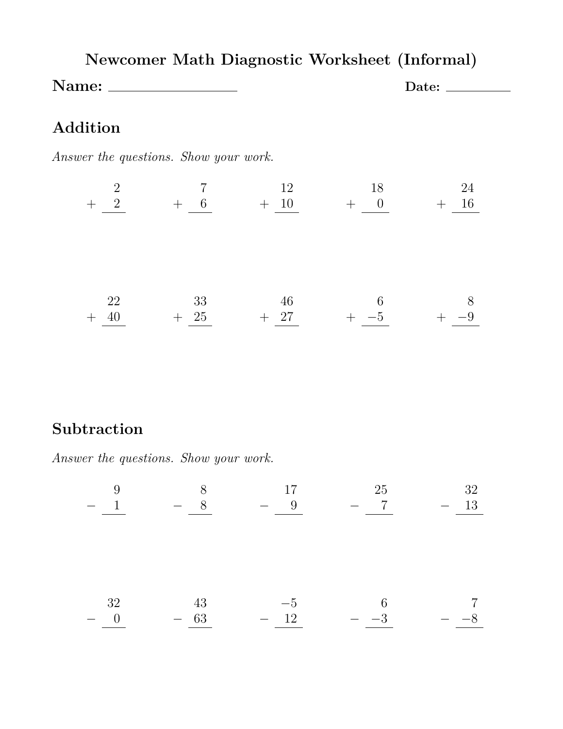|       |  | Newcomer Math Diagnostic Worksheet (Informal) |       |
|-------|--|-----------------------------------------------|-------|
| Name: |  |                                               | Date: |

# **Addition**

*Answer the questions. Show your work.*

| $\overline{2}$<br>$+$ 2 | $+ 6 + 10$ | 12    | 18<br>$+$ 0 | 24<br>$+$ 16 |
|-------------------------|------------|-------|-------------|--------------|
|                         |            |       |             |              |
|                         |            |       |             |              |
|                         |            |       |             |              |
| 22                      | 33         | -46   | - 6         |              |
| 40                      | $+$ 25     | $+27$ | $-5$        |              |

# **Subtraction**

*Answer the questions. Show your work.*

$$
-\begin{array}{ccc}\n9 & -8 & -8 \\
-\underline{1} & -8 & -\underline{9} & -\underline{7} & -\underline{13} \\
-\underline{32} & -\underline{43} & -\underline{5} & 6 & 7 \\
-\underline{0} & -\underline{63} & -\underline{12} & -\underline{-3} & -\underline{-8} \\
\end{array}
$$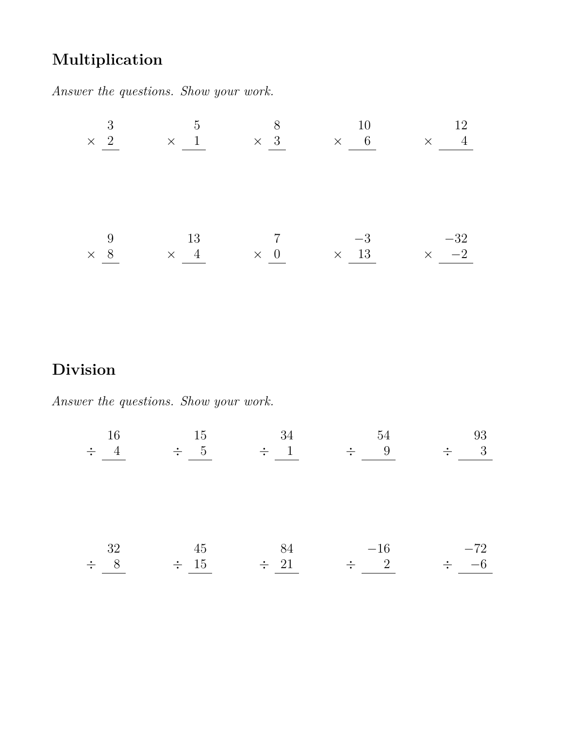# **Multiplication**

*Answer the questions. Show your work.*

| 3 <sup>3</sup> |    | $5 \qquad \qquad 8$ | 10                                | 12 <sup>12</sup>                                                                                                        |
|----------------|----|---------------------|-----------------------------------|-------------------------------------------------------------------------------------------------------------------------|
|                |    |                     |                                   | $\begin{array}{ccccccccccc} \times & 2 & & & \times & 1 & & & \times & 3 & & & \times & 6 & & & \times & 4 \end{array}$ |
|                |    |                     |                                   |                                                                                                                         |
|                |    |                     |                                   |                                                                                                                         |
|                |    |                     |                                   |                                                                                                                         |
|                |    |                     |                                   |                                                                                                                         |
|                |    |                     |                                   |                                                                                                                         |
| 9              | 13 | $7\,$               | $-3$                              | $-32\,$                                                                                                                 |
| $\times$ 8     |    |                     | $\times$ 4 $\times$ 0 $\times$ 13 | $\times$ $-2$                                                                                                           |

# **Division**

*Answer the questions. Show your work.*

| 16<br>$4\overline{4}$<br>$\div$ | 15<br>$\div$ 5  | 34<br>$\div$ 1  | 54<br>9<br>$\frac{1}{\sqrt{2}}$ | 93<br>3<br>$\div$ |
|---------------------------------|-----------------|-----------------|---------------------------------|-------------------|
| 32<br>8<br>$\frac{1}{\sqrt{2}}$ | 45<br>$\div$ 15 | 84<br>$\div$ 21 | $-16$<br>$\div$ 2               | $-72$<br>$\div$   |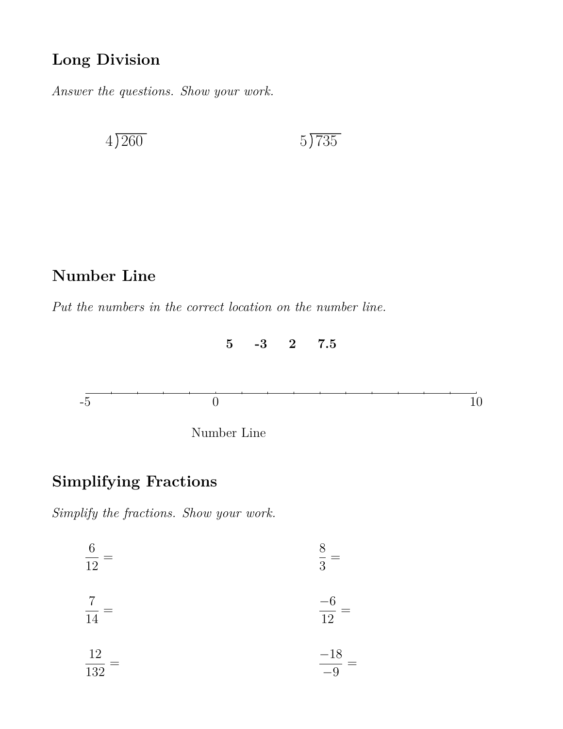# **Long Division**

*Answer the questions. Show your work.*

 $4\overline{)260}$  5 735

# **Number Line**

*Put the numbers in the correct location on the number line.*



### **Simplifying Fractions**

*Simplify the fractions. Show your work.*

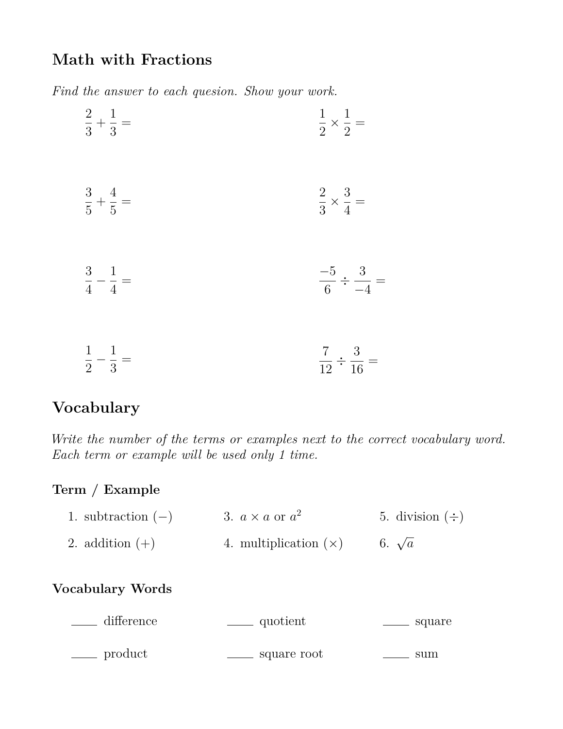### **Math with Fractions**

*Find the answer to each quesion. Show your work.*

| $\frac{2}{3} + \frac{1}{3} =$ | $\frac{1}{2} \times \frac{1}{2} =$ |
|-------------------------------|------------------------------------|
| $\frac{3}{5} + \frac{4}{5} =$ | $\frac{2}{3} \times \frac{3}{4} =$ |
| $\frac{3}{4} - \frac{1}{4} =$ | $\frac{-5}{6} \div \frac{3}{-4} =$ |
| $\frac{1}{2} - \frac{1}{3} =$ | $rac{7}{12} \div \frac{3}{16} =$   |

# **Vocabulary**

*Write the number of the terms or examples next to the correct vocabulary word. Each term or example will be used only 1 time.*

### **Term / Example**

1. subtraction  $(-)$  3.  $a \times a$  or  $a^2$ 2. addition  $(+)$ 4. multiplication (×) 5. division  $(\div)$ 6. <sup>√</sup> *a*

#### **Vocabulary Words**

| difference         | quotient    | square |
|--------------------|-------------|--------|
| <sub>product</sub> | square root | sum    |